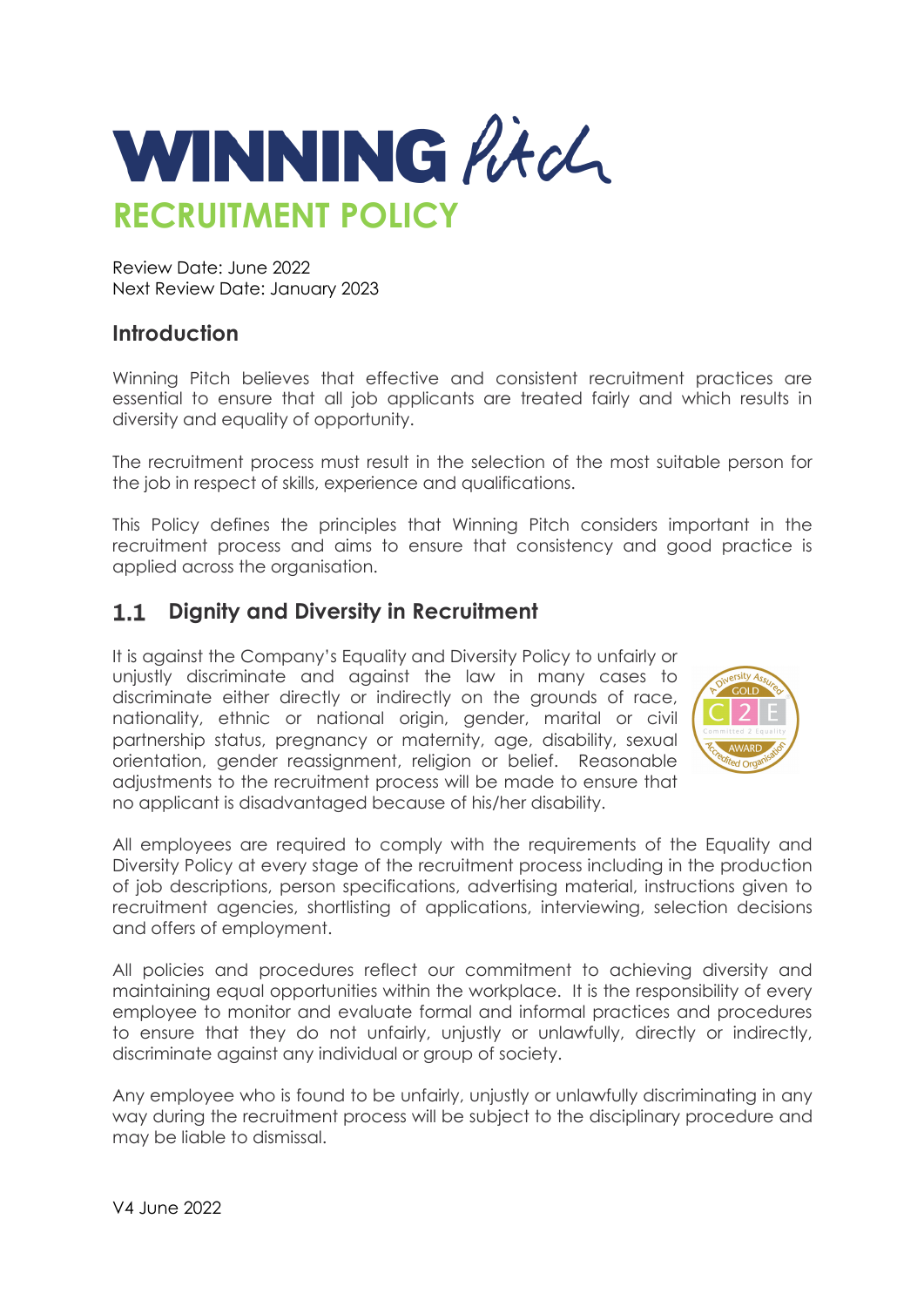

Review Date: June 2022 Next Review Date: January 2023

### **Introduction**

Winning Pitch believes that effective and consistent recruitment practices are essential to ensure that all job applicants are treated fairly and which results in diversity and equality of opportunity.

The recruitment process must result in the selection of the most suitable person for the job in respect of skills, experience and qualifications.

This Policy defines the principles that Winning Pitch considers important in the recruitment process and aims to ensure that consistency and good practice is applied across the organisation.

#### **Dignity and Diversity in Recruitment**  $1.1$

It is against the Company's Equality and Diversity Policy to unfairly or unjustly discriminate and against the law in many cases to discriminate either directly or indirectly on the grounds of race, nationality, ethnic or national origin, gender, marital or civil partnership status, pregnancy or maternity, age, disability, sexual orientation, gender reassignment, religion or belief. Reasonable adjustments to the recruitment process will be made to ensure that no applicant is disadvantaged because of his/her disability.



All employees are required to comply with the requirements of the Equality and Diversity Policy at every stage of the recruitment process including in the production of job descriptions, person specifications, advertising material, instructions given to recruitment agencies, shortlisting of applications, interviewing, selection decisions and offers of employment.

All policies and procedures reflect our commitment to achieving diversity and maintaining equal opportunities within the workplace. It is the responsibility of every employee to monitor and evaluate formal and informal practices and procedures to ensure that they do not unfairly, unjustly or unlawfully, directly or indirectly, discriminate against any individual or group of society.

Any employee who is found to be unfairly, unjustly or unlawfully discriminating in any way during the recruitment process will be subject to the disciplinary procedure and may be liable to dismissal.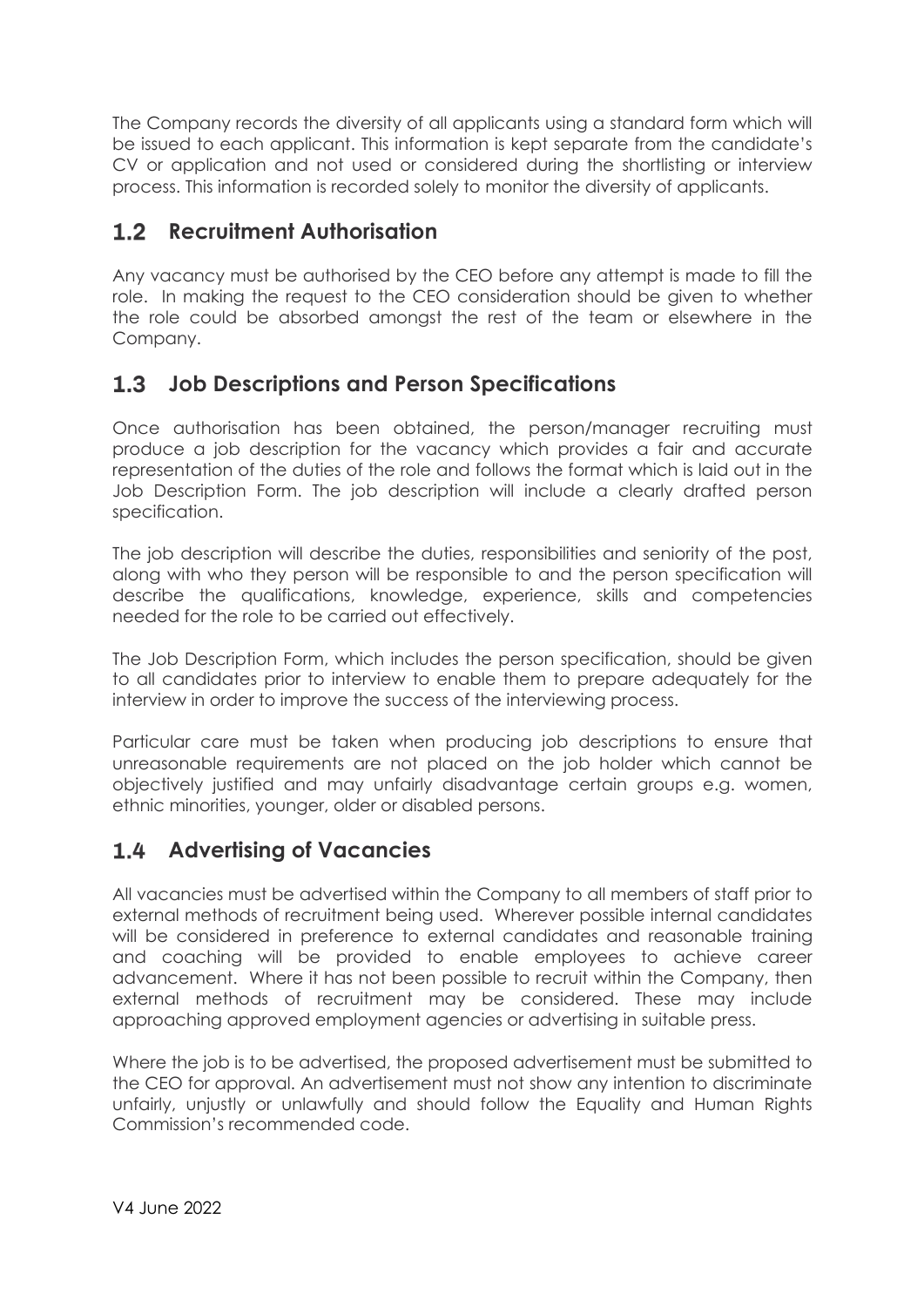The Company records the diversity of all applicants using a standard form which will be issued to each applicant. This information is kept separate from the candidate's CV or application and not used or considered during the shortlisting or interview process. This information is recorded solely to monitor the diversity of applicants.

## **Recruitment Authorisation**

Any vacancy must be authorised by the CEO before any attempt is made to fill the role. In making the request to the CEO consideration should be given to whether the role could be absorbed amongst the rest of the team or elsewhere in the Company.

## **Job Descriptions and Person Specifications**

Once authorisation has been obtained, the person/manager recruiting must produce a job description for the vacancy which provides a fair and accurate representation of the duties of the role and follows the format which is laid out in the Job Description Form. The job description will include a clearly drafted person specification.

The job description will describe the duties, responsibilities and seniority of the post, along with who they person will be responsible to and the person specification will describe the qualifications, knowledge, experience, skills and competencies needed for the role to be carried out effectively.

The Job Description Form, which includes the person specification, should be given to all candidates prior to interview to enable them to prepare adequately for the interview in order to improve the success of the interviewing process.

Particular care must be taken when producing job descriptions to ensure that unreasonable requirements are not placed on the job holder which cannot be objectively justified and may unfairly disadvantage certain groups e.g. women, ethnic minorities, younger, older or disabled persons.

## **Advertising of Vacancies**

All vacancies must be advertised within the Company to all members of staff prior to external methods of recruitment being used. Wherever possible internal candidates will be considered in preference to external candidates and reasonable training and coaching will be provided to enable employees to achieve career advancement. Where it has not been possible to recruit within the Company, then external methods of recruitment may be considered. These may include approaching approved employment agencies or advertising in suitable press.

Where the job is to be advertised, the proposed advertisement must be submitted to the CEO for approval. An advertisement must not show any intention to discriminate unfairly, unjustly or unlawfully and should follow the Equality and Human Rights Commission's recommended code.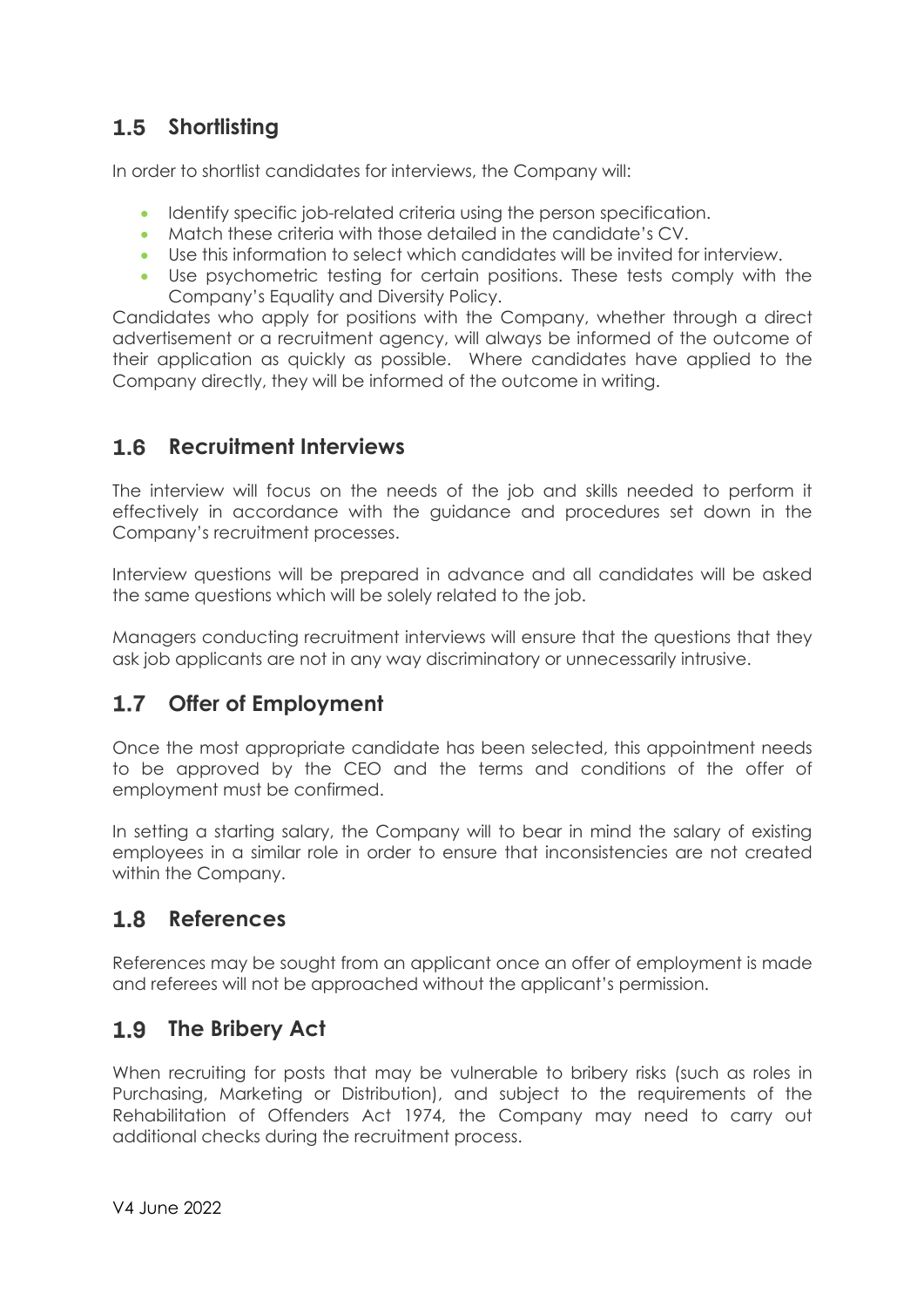# 1.5 Shortlisting

In order to shortlist candidates for interviews, the Company will:

- Identify specific job-related criteria using the person specification.
- Match these criteria with those detailed in the candidate's CV.
- Use this information to select which candidates will be invited for interview.
- Use psychometric testing for certain positions. These tests comply with the Company's Equality and Diversity Policy.

Candidates who apply for positions with the Company, whether through a direct advertisement or a recruitment agency, will always be informed of the outcome of their application as quickly as possible. Where candidates have applied to the Company directly, they will be informed of the outcome in writing.

#### **Recruitment Interviews**  $1.6$

The interview will focus on the needs of the job and skills needed to perform it effectively in accordance with the guidance and procedures set down in the Company's recruitment processes.

Interview questions will be prepared in advance and all candidates will be asked the same questions which will be solely related to the job.

Managers conducting recruitment interviews will ensure that the questions that they ask job applicants are not in any way discriminatory or unnecessarily intrusive.

#### $1.7$ **Offer of Employment**

Once the most appropriate candidate has been selected, this appointment needs to be approved by the CEO and the terms and conditions of the offer of employment must be confirmed.

In setting a starting salary, the Company will to bear in mind the salary of existing employees in a similar role in order to ensure that inconsistencies are not created within the Company.

#### $1.8$ **References**

References may be sought from an applicant once an offer of employment is made and referees will not be approached without the applicant's permission.

## 1.9 The Bribery Act

When recruiting for posts that may be vulnerable to bribery risks (such as roles in Purchasing, Marketing or Distribution), and subject to the requirements of the Rehabilitation of Offenders Act 1974, the Company may need to carry out additional checks during the recruitment process.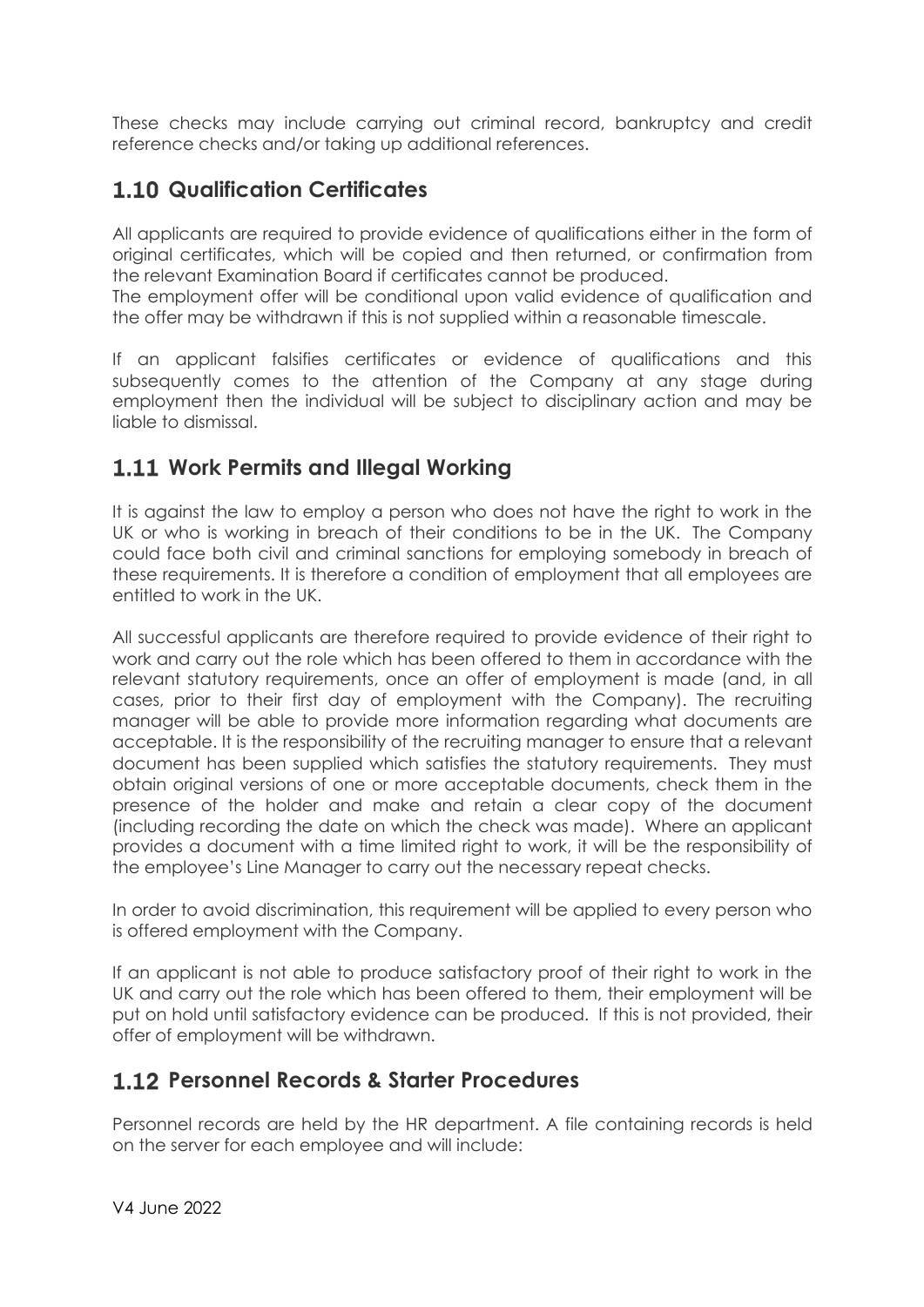These checks may include carrying out criminal record, bankruptcy and credit reference checks and/or taking up additional references.

# **1.10 Qualification Certificates**

All applicants are required to provide evidence of qualifications either in the form of original certificates, which will be copied and then returned, or confirmation from the relevant Examination Board if certificates cannot be produced.

The employment offer will be conditional upon valid evidence of qualification and the offer may be withdrawn if this is not supplied within a reasonable timescale.

If an applicant falsifies certificates or evidence of qualifications and this subsequently comes to the attention of the Company at any stage during employment then the individual will be subject to disciplinary action and may be liable to dismissal.

## **Work Permits and Illegal Working**

It is against the law to employ a person who does not have the right to work in the UK or who is working in breach of their conditions to be in the UK. The Company could face both civil and criminal sanctions for employing somebody in breach of these requirements. It is therefore a condition of employment that all employees are entitled to work in the UK.

All successful applicants are therefore required to provide evidence of their right to work and carry out the role which has been offered to them in accordance with the relevant statutory requirements, once an offer of employment is made (and, in all cases, prior to their first day of employment with the Company). The recruiting manager will be able to provide more information regarding what documents are acceptable. It is the responsibility of the recruiting manager to ensure that a relevant document has been supplied which satisfies the statutory requirements. They must obtain original versions of one or more acceptable documents, check them in the presence of the holder and make and retain a clear copy of the document (including recording the date on which the check was made). Where an applicant provides a document with a time limited right to work, it will be the responsibility of the employee's Line Manager to carry out the necessary repeat checks.

In order to avoid discrimination, this requirement will be applied to every person who is offered employment with the Company.

If an applicant is not able to produce satisfactory proof of their right to work in the UK and carry out the role which has been offered to them, their employment will be put on hold until satisfactory evidence can be produced. If this is not provided, their offer of employment will be withdrawn.

## **Personnel Records & Starter Procedures**

Personnel records are held by the HR department. A file containing records is held on the server for each employee and will include: